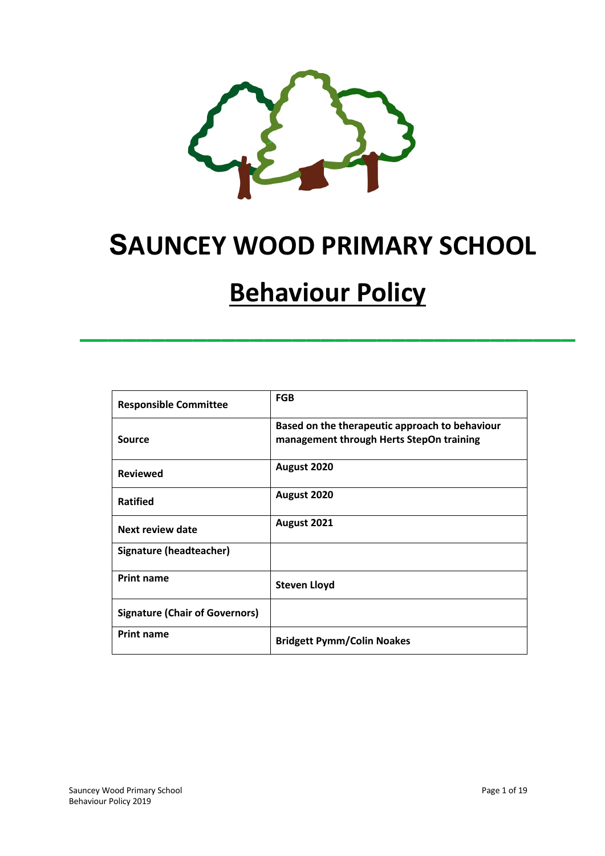

# **SAUNCEY WOOD PRIMARY SCHOOL**

# **Behaviour Policy**

**\_\_\_\_\_\_\_\_\_\_\_\_\_\_\_\_\_\_\_\_\_\_\_\_\_\_\_\_\_\_\_\_\_\_\_**

| <b>Responsible Committee</b>          | <b>FGB</b>                                                                                 |
|---------------------------------------|--------------------------------------------------------------------------------------------|
| Source                                | Based on the therapeutic approach to behaviour<br>management through Herts StepOn training |
| <b>Reviewed</b>                       | August 2020                                                                                |
| <b>Ratified</b>                       | August 2020                                                                                |
| Next review date                      | August 2021                                                                                |
| Signature (headteacher)               |                                                                                            |
| <b>Print name</b>                     | <b>Steven Lloyd</b>                                                                        |
| <b>Signature (Chair of Governors)</b> |                                                                                            |
| <b>Print name</b>                     | <b>Bridgett Pymm/Colin Noakes</b>                                                          |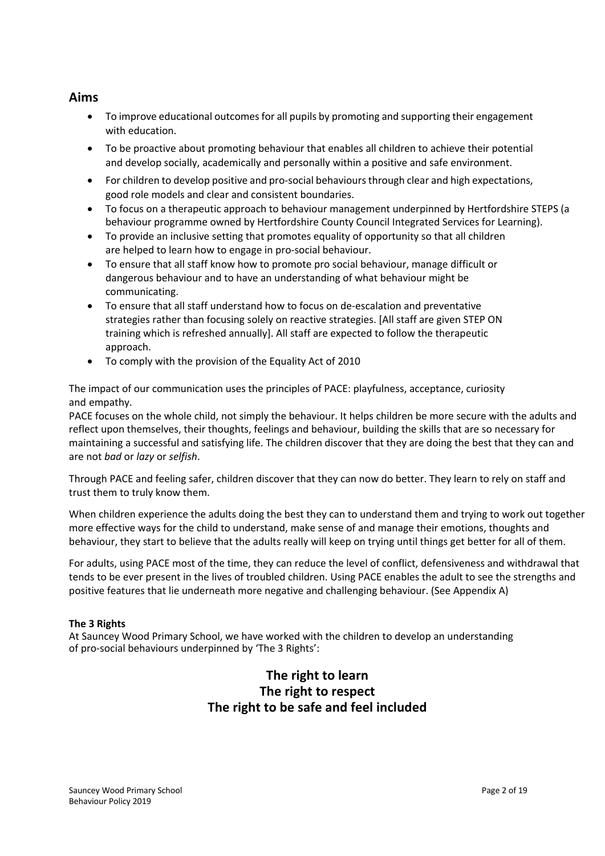## **Aims**

- To improve educational outcomes for all pupils by promoting and supporting their engagement with education.
- To be proactive about promoting behaviour that enables all children to achieve their potential and develop socially, academically and personally within a positive and safe environment.
- For children to develop positive and pro-social behaviours through clear and high expectations, good role models and clear and consistent boundaries.
- To focus on a therapeutic approach to behaviour management underpinned by Hertfordshire STEPS (a behaviour programme owned by Hertfordshire County Council Integrated Services for Learning).
- To provide an inclusive setting that promotes equality of opportunity so that all children are helped to learn how to engage in pro-social behaviour.
- To ensure that all staff know how to promote pro social behaviour, manage difficult or dangerous behaviour and to have an understanding of what behaviour might be communicating.
- To ensure that all staff understand how to focus on de-escalation and preventative strategies rather than focusing solely on reactive strategies. [All staff are given STEP ON training which is refreshed annually]. All staff are expected to follow the therapeutic approach.
- To comply with the provision of the Equality Act of 2010

The impact of our communication uses the principles of PACE: playfulness, acceptance, curiosity and empathy.

PACE focuses on the whole child, not simply the behaviour. It helps children be more secure with the adults and reflect upon themselves, their thoughts, feelings and behaviour, building the skills that are so necessary for maintaining a successful and satisfying life. The children discover that they are doing the best that they can and are not *bad* or *lazy* or *selfish*.

Through PACE and feeling safer, children discover that they can now do better. They learn to rely on staff and trust them to truly know them.

When children experience the adults doing the best they can to understand them and trying to work out together more effective ways for the child to understand, make sense of and manage their emotions, thoughts and behaviour, they start to believe that the adults really will keep on trying until things get better for all of them.

For adults, using PACE most of the time, they can reduce the level of conflict, defensiveness and withdrawal that tends to be ever present in the lives of troubled children. Using PACE enables the adult to see the strengths and positive features that lie underneath more negative and challenging behaviour. (See Appendix A)

#### **The 3 Rights**

At Sauncey Wood Primary School, we have worked with the children to develop an understanding of pro-social behaviours underpinned by 'The 3 Rights':

## **The right to learn The right to respect The right to be safe and feel included**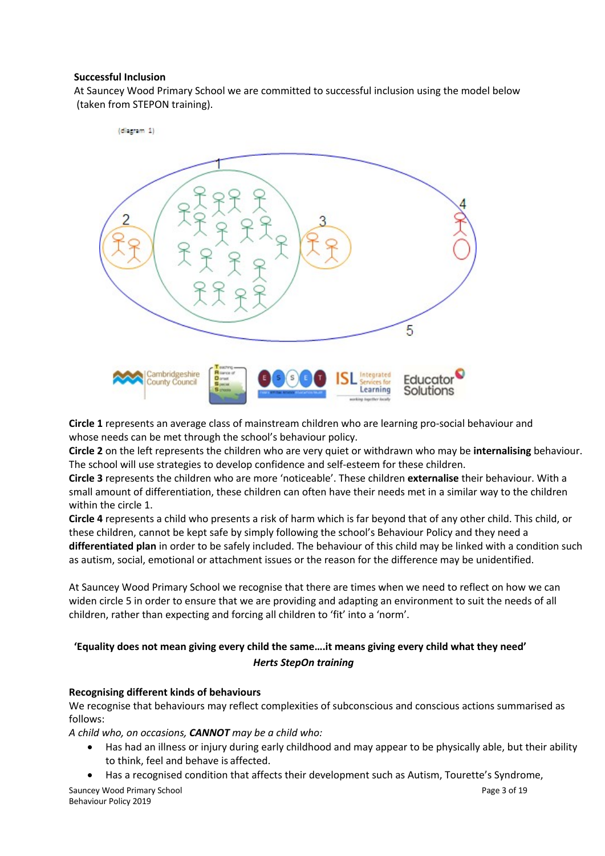#### **Successful Inclusion**

At Sauncey Wood Primary School we are committed to successful inclusion using the model below (taken from STEPON training).



**Circle 1** represents an average class of mainstream children who are learning pro-social behaviour and whose needs can be met through the school's behaviour policy.

**Circle 2** on the left represents the children who are very quiet or withdrawn who may be **internalising** behaviour. The school will use strategies to develop confidence and self-esteem for these children.

**Circle 3** represents the children who are more 'noticeable'. These children **externalise** their behaviour. With a small amount of differentiation, these children can often have their needs met in a similar way to the children within the circle 1.

**Circle 4** represents a child who presents a risk of harm which is far beyond that of any other child. This child, or these children, cannot be kept safe by simply following the school's Behaviour Policy and they need a **differentiated plan** in order to be safely included. The behaviour of this child may be linked with a condition such as autism, social, emotional or attachment issues or the reason for the difference may be unidentified.

At Sauncey Wood Primary School we recognise that there are times when we need to reflect on how we can widen circle 5 in order to ensure that we are providing and adapting an environment to suit the needs of all children, rather than expecting and forcing all children to 'fit' into a 'norm'.

### **'Equality does not mean giving every child the same….it means giving every child what they need'** *Herts StepOn training*

#### **Recognising different kinds of behaviours**

We recognise that behaviours may reflect complexities of subconscious and conscious actions summarised as follows:

*A child who, on occasions, CANNOT may be a child who:*

- Has had an illness or injury during early childhood and may appear to be physically able, but their ability to think, feel and behave is affected.
- Has a recognised condition that affects their development such as Autism, Tourette's Syndrome,

Sauncey Wood Primary School **Page 3** of 19 Behaviour Policy 2019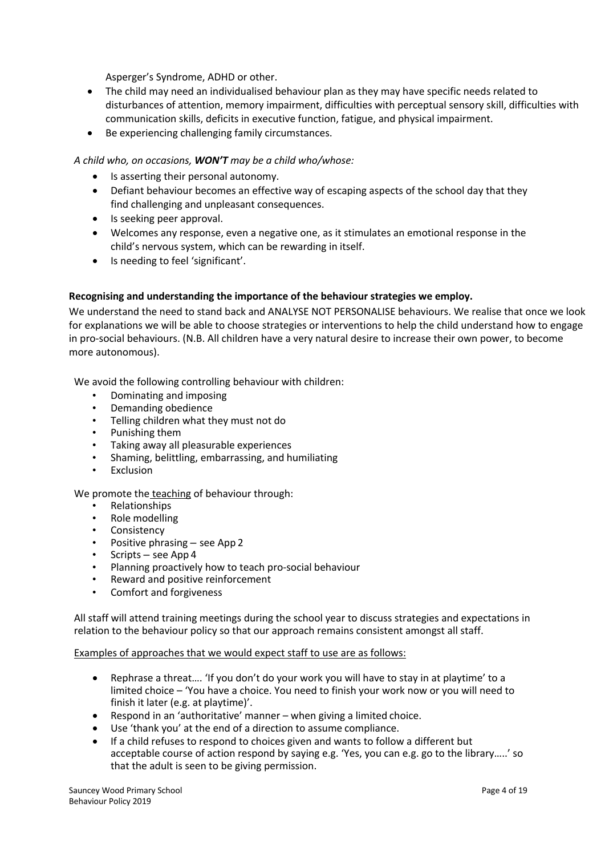Asperger's Syndrome, ADHD or other.

- The child may need an individualised behaviour plan as they may have specific needs related to disturbances of attention, memory impairment, difficulties with perceptual sensory skill, difficulties with communication skills, deficits in executive function, fatigue, and physical impairment.
- Be experiencing challenging family circumstances.

*A child who, on occasions, WON'T may be a child who/whose:*

- Is asserting their personal autonomy.
- Defiant behaviour becomes an effective way of escaping aspects of the school day that they find challenging and unpleasant consequences.
- Is seeking peer approval.
- Welcomes any response, even a negative one, as it stimulates an emotional response in the child's nervous system, which can be rewarding in itself.
- Is needing to feel 'significant'.

#### **Recognising and understanding the importance of the behaviour strategies we employ.**

We understand the need to stand back and ANALYSE NOT PERSONALISE behaviours. We realise that once we look for explanations we will be able to choose strategies or interventions to help the child understand how to engage in pro-social behaviours. (N.B. All children have a very natural desire to increase their own power, to become more autonomous).

We avoid the following controlling behaviour with children:

- Dominating and imposing
- Demanding obedience
- Telling children what they must not do
- Punishing them
- Taking away all pleasurable experiences
- Shaming, belittling, embarrassing, and humiliating
- **Exclusion**

We promote the teaching of behaviour through:

- Relationships
- Role modelling
- Consistency
- Positive phrasing see App 2
- Scripts see App 4
- Planning proactively how to teach pro-social behaviour
- Reward and positive reinforcement
- Comfort and forgiveness

All staff will attend training meetings during the school year to discuss strategies and expectations in relation to the behaviour policy so that our approach remains consistent amongst all staff.

#### Examples of approaches that we would expect staff to use are as follows:

- Rephrase a threat…. 'If you don't do your work you will have to stay in at playtime' to a limited choice – 'You have a choice. You need to finish your work now or you will need to finish it later (e.g. at playtime)'.
- Respond in an 'authoritative' manner when giving a limited choice.
- Use 'thank you' at the end of a direction to assume compliance.
- If a child refuses to respond to choices given and wants to follow a different but acceptable course of action respond by saying e.g. 'Yes, you can e.g. go to the library…..' so that the adult is seen to be giving permission.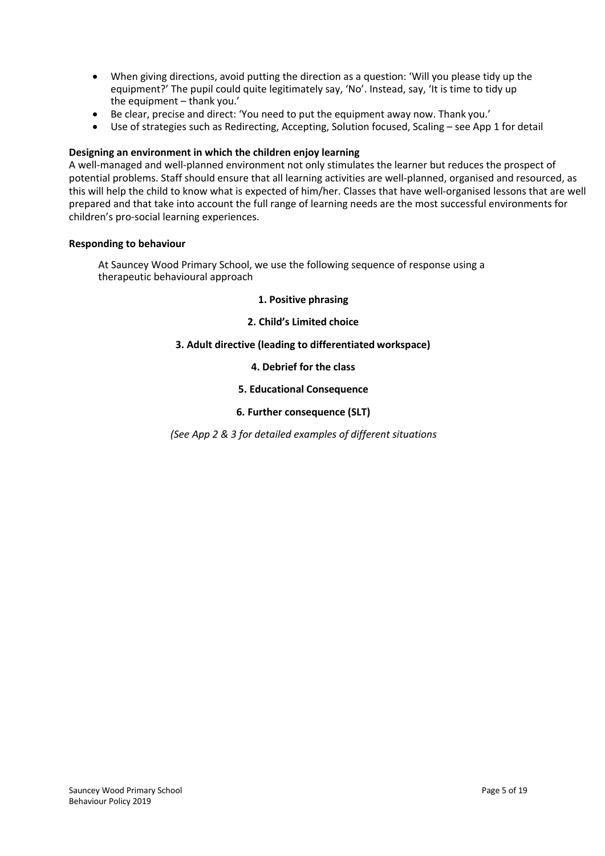- When giving directions, avoid putting the direction as a question: 'Will you please tidy up the equipment?' The pupil could quite legitimately say, 'No'. Instead, say, 'It is time to tidy up the equipment – thank you.'
- Be clear, precise and direct: 'You need to put the equipment away now. Thank you.'
- Use of strategies such as Redirecting, Accepting, Solution focused, Scaling see App 1 for detail

#### **Designing an environment in which the children enjoy learning**

A well-managed and well-planned environment not only stimulates the learner but reduces the prospect of potential problems. Staff should ensure that all learning activities are well-planned, organised and resourced, as this will help the child to know what is expected of him/her. Classes that have well-organised lessons that are well prepared and that take into account the full range of learning needs are the most successful environments for children's pro-social learning experiences.

#### **Responding to behaviour**

At Sauncey Wood Primary School, we use the following sequence of response using a therapeutic behavioural approach

#### **1. Positive phrasing**

#### **2. Child's Limited choice**

#### **3. Adult directive (leading to differentiated workspace)**

#### **4. Debrief for the class**

#### **5. Educational Consequence**

#### **6. Further consequence (SLT)**

*(See App 2 & 3 for detailed examples of different situations*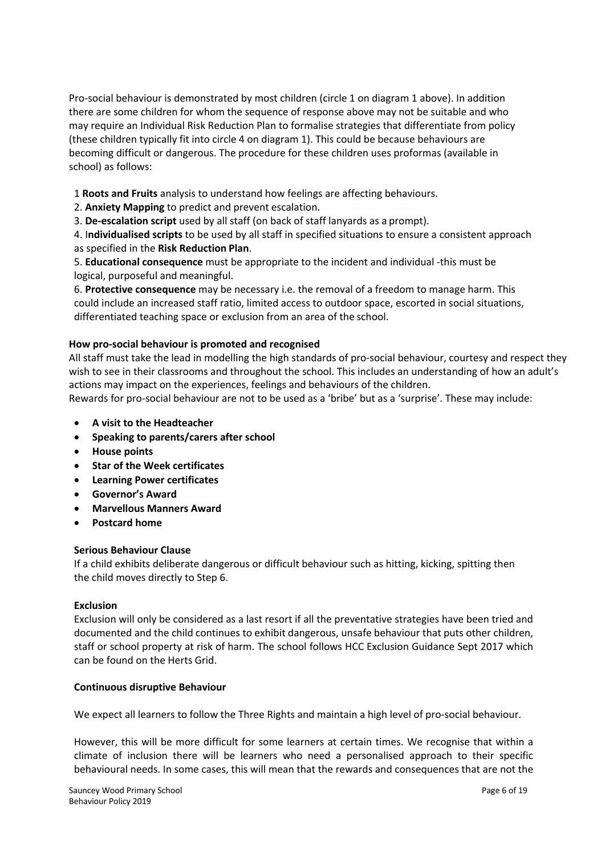Pro-social behaviour is demonstrated by most children (circle 1 on diagram 1 above). In addition there are some children for whom the sequence of response above may not be suitable and who may require an Individual Risk Reduction Plan to formalise strategies that differentiate from policy (these children typically fit into circle 4 on diagram 1). This could be because behaviours are becoming difficult or dangerous. The procedure for these children uses proformas (available in school) as follows:

1 **Roots and Fruits** analysis to understand how feelings are affecting behaviours.

2. **Anxiety Mapping** to predict and prevent escalation.

3. **De-escalation script** used by all staff (on back of staff lanyards as a prompt).

4. I**ndividualised scripts** to be used by all staff in specified situations to ensure a consistent approach as specified in the **Risk Reduction Plan**.

5. **Educational consequence** must be appropriate to the incident and individual -this must be logical, purposeful and meaningful.

6. **Protective consequence** may be necessary i.e. the removal of a freedom to manage harm. This could include an increased staff ratio, limited access to outdoor space, escorted in social situations, differentiated teaching space or exclusion from an area of the school.

#### **How pro-social behaviour is promoted and recognised**

All staff must take the lead in modelling the high standards of pro-social behaviour, courtesy and respect they wish to see in their classrooms and throughout the school. This includes an understanding of how an adult's actions may impact on the experiences, feelings and behaviours of the children.

Rewards for pro-social behaviour are not to be used as a 'bribe' but as a 'surprise'. These may include:

- **A visit to the Headteacher**
- **Speaking to parents/carers after school**
- **House points**
- **Star of the Week certificates**
- **Learning Power certificates**
- **Governor's Award**
- **Marvellous Manners Award**
- **Postcard home**

#### **Serious Behaviour Clause**

If a child exhibits deliberate dangerous or difficult behaviour such as hitting, kicking, spitting then the child moves directly to Step 6.

#### **Exclusion**

Exclusion will only be considered as a last resort if all the preventative strategies have been tried and documented and the child continues to exhibit dangerous, unsafe behaviour that puts other children, staff or school property at risk of harm. The school follows HCC Exclusion Guidance Sept 2017 which can be found on the Herts Grid.

#### **Continuous disruptive Behaviour**

We expect all learners to follow the Three Rights and maintain a high level of pro-social behaviour.

However, this will be more difficult for some learners at certain times. We recognise that within a climate of inclusion there will be learners who need a personalised approach to their specific behavioural needs. In some cases, this will mean that the rewards and consequences that are not the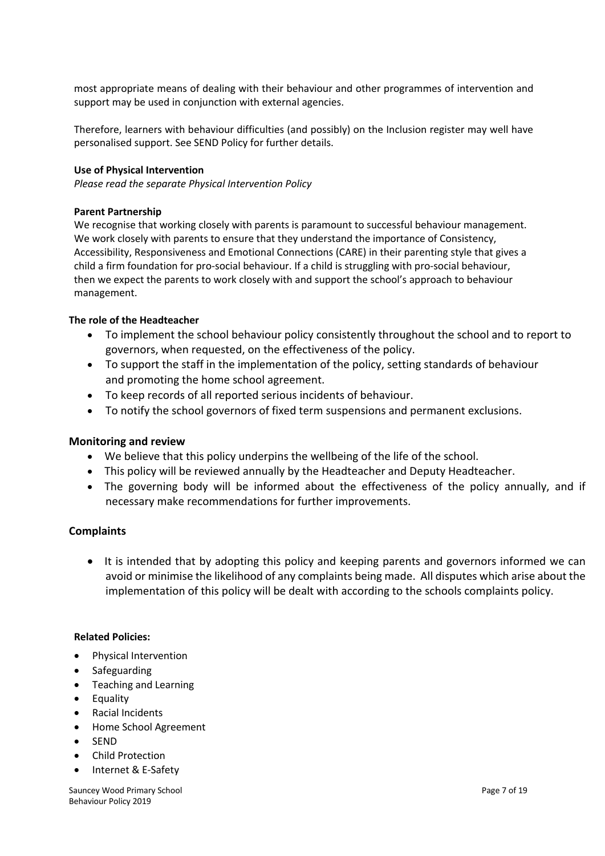most appropriate means of dealing with their behaviour and other programmes of intervention and support may be used in conjunction with external agencies.

Therefore, learners with behaviour difficulties (and possibly) on the Inclusion register may well have personalised support. See SEND Policy for further details.

#### **Use of Physical Intervention**

*Please read the separate Physical Intervention Policy*

#### **Parent Partnership**

We recognise that working closely with parents is paramount to successful behaviour management. We work closely with parents to ensure that they understand the importance of Consistency, Accessibility, Responsiveness and Emotional Connections (CARE) in their parenting style that gives a child a firm foundation for pro-social behaviour. If a child is struggling with pro-social behaviour, then we expect the parents to work closely with and support the school's approach to behaviour management.

#### **The role of the Headteacher**

- To implement the school behaviour policy consistently throughout the school and to report to governors, when requested, on the effectiveness of the policy.
- To support the staff in the implementation of the policy, setting standards of behaviour and promoting the home school agreement.
- To keep records of all reported serious incidents of behaviour.
- To notify the school governors of fixed term suspensions and permanent exclusions.

#### **Monitoring and review**

- We believe that this policy underpins the wellbeing of the life of the school.
- This policy will be reviewed annually by the Headteacher and Deputy Headteacher.
- The governing body will be informed about the effectiveness of the policy annually, and if necessary make recommendations for further improvements.

#### **Complaints**

• It is intended that by adopting this policy and keeping parents and governors informed we can avoid or minimise the likelihood of any complaints being made. All disputes which arise about the implementation of this policy will be dealt with according to the schools complaints policy.

#### **Related Policies:**

- Physical Intervention
- Safeguarding
- Teaching and Learning
- Equality
- Racial Incidents
- Home School Agreement
- SEND
- Child Protection
- Internet & E-Safety

Sauncey Wood Primary School **Page 7** of 19 Behaviour Policy 2019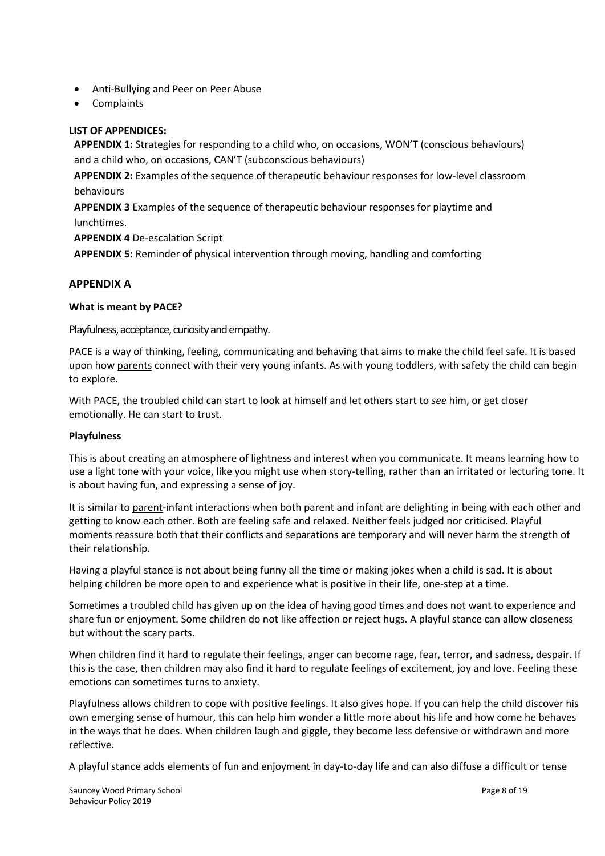- Anti-Bullying and Peer on Peer Abuse
- Complaints

#### **LIST OF APPENDICES:**

**APPENDIX 1:** Strategies for responding to a child who, on occasions, WON'T (conscious behaviours) and a child who, on occasions, CAN'T (subconscious behaviours)

**APPENDIX 2:** Examples of the sequence of therapeutic behaviour responses for low-level classroom behaviours

**APPENDIX 3** Examples of the sequence of therapeutic behaviour responses for playtime and lunchtimes.

**APPENDIX 4** De-escalation Script

**APPENDIX 5:** Reminder of physical intervention through moving, handling and comforting

#### **APPENDIX A**

#### **What is meant by PACE?**

Playfulness, acceptance, curiosity and empathy.

PACE is a way of thinking, feeling, communicating and behaving that aims to make the child feel safe. It is based upon how parents connect with their very young infants. As with young toddlers, with safety the child can begin to explore.

With PACE, the troubled child can start to look at himself and let others start to *see* him, or get closer emotionally. He can start to trust.

#### **Playfulness**

This is about creating an atmosphere of lightness and interest when you communicate. It means learning how to use a light tone with your voice, like you might use when story-telling, rather than an irritated or lecturing tone. It is about having fun, and expressing a sense of joy.

It is similar to parent-infant interactions when both parent and infant are delighting in being with each other and getting to know each other. Both are feeling safe and relaxed. Neither feels judged nor criticised. Playful moments reassure both that their conflicts and separations are temporary and will never harm the strength of their relationship.

Having a playful stance is not about being funny all the time or making jokes when a child is sad. It is about helping children be more open to and experience what is positive in their life, one-step at a time.

Sometimes a troubled child has given up on the idea of having good times and does not want to experience and share fun or enjoyment. Some children do not like affection or reject hugs. A playful stance can allow closeness but without the scary parts.

When children find it hard to regulate their feelings, anger can become rage, fear, terror, and sadness, despair. If this is the case, then children may also find it hard to regulate feelings of excitement, joy and love. Feeling these emotions can sometimes turns to anxiety.

Playfulness allows children to cope with positive feelings. It also gives hope. If you can help the child discover his own emerging sense of humour, this can help him wonder a little more about his life and how come he behaves in the ways that he does. When children laugh and giggle, they become less defensive or withdrawn and more reflective.

A playful stance adds elements of fun and enjoyment in day-to-day life and can also diffuse a difficult or tense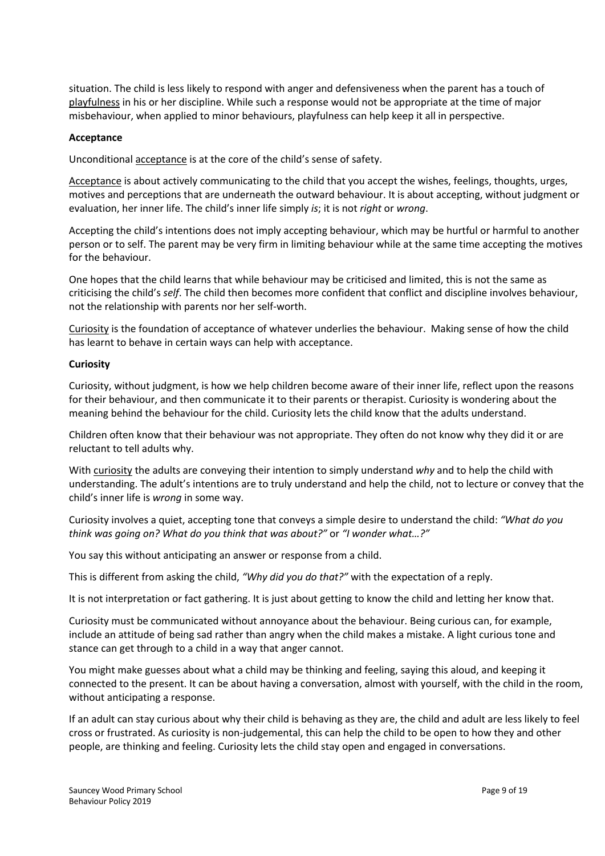situation. The child is less likely to respond with anger and defensiveness when the parent has a touch of playfulness in his or her discipline. While such a response would not be appropriate at the time of major misbehaviour, when applied to minor behaviours, playfulness can help keep it all in perspective.

#### **Acceptance**

Unconditional acceptance is at the core of the child's sense of safety.

Acceptance is about actively communicating to the child that you accept the wishes, feelings, thoughts, urges, motives and perceptions that are underneath the outward behaviour. It is about accepting, without judgment or evaluation, her inner life. The child's inner life simply *is*; it is not *right* or *wrong*.

Accepting the child's intentions does not imply accepting behaviour, which may be hurtful or harmful to another person or to self. The parent may be very firm in limiting behaviour while at the same time accepting the motives for the behaviour.

One hopes that the child learns that while behaviour may be criticised and limited, this is not the same as criticising the child's *self*. The child then becomes more confident that conflict and discipline involves behaviour, not the relationship with parents nor her self-worth.

Curiosity is the foundation of acceptance of whatever underlies the behaviour. Making sense of how the child has learnt to behave in certain ways can help with acceptance.

#### **Curiosity**

Curiosity, without judgment, is how we help children become aware of their inner life, reflect upon the reasons for their behaviour, and then communicate it to their parents or therapist. Curiosity is wondering about the meaning behind the behaviour for the child. Curiosity lets the child know that the adults understand.

Children often know that their behaviour was not appropriate. They often do not know why they did it or are reluctant to tell adults why.

With curiosity the adults are conveying their intention to simply understand *why* and to help the child with understanding. The adult's intentions are to truly understand and help the child, not to lecture or convey that the child's inner life is *wrong* in some way.

Curiosity involves a quiet, accepting tone that conveys a simple desire to understand the child: *"What do you think was going on? What do you think that was about?"* or *"I wonder what…?"*

You say this without anticipating an answer or response from a child.

This is different from asking the child, *"Why did you do that?"* with the expectation of a reply.

It is not interpretation or fact gathering. It is just about getting to know the child and letting her know that.

Curiosity must be communicated without annoyance about the behaviour. Being curious can, for example, include an attitude of being sad rather than angry when the child makes a mistake. A light curious tone and stance can get through to a child in a way that anger cannot.

You might make guesses about what a child may be thinking and feeling, saying this aloud, and keeping it connected to the present. It can be about having a conversation, almost with yourself, with the child in the room, without anticipating a response.

If an adult can stay curious about why their child is behaving as they are, the child and adult are less likely to feel cross or frustrated. As curiosity is non-judgemental, this can help the child to be open to how they and other people, are thinking and feeling. Curiosity lets the child stay open and engaged in conversations.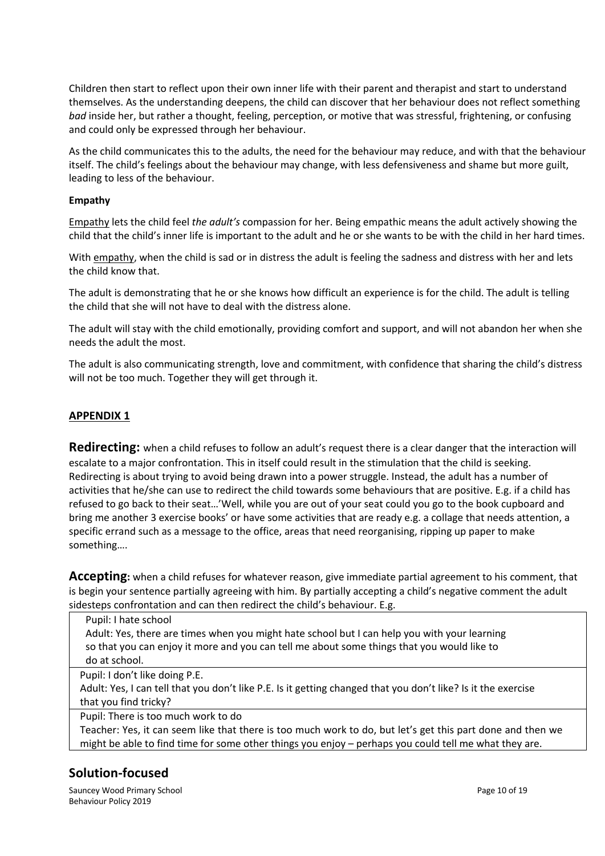Children then start to reflect upon their own inner life with their parent and therapist and start to understand themselves. As the understanding deepens, the child can discover that her behaviour does not reflect something *bad* inside her, but rather a thought, feeling, perception, or motive that was stressful, frightening, or confusing and could only be expressed through her behaviour.

As the child communicates this to the adults, the need for the behaviour may reduce, and with that the behaviour itself. The child's feelings about the behaviour may change, with less defensiveness and shame but more guilt, leading to less of the behaviour.

#### **Empathy**

Empathy lets the child feel *the adult's* compassion for her. Being empathic means the adult actively showing the child that the child's inner life is important to the adult and he or she wants to be with the child in her hard times.

With empathy, when the child is sad or in distress the adult is feeling the sadness and distress with her and lets the child know that.

The adult is demonstrating that he or she knows how difficult an experience is for the child. The adult is telling the child that she will not have to deal with the distress alone.

The adult will stay with the child emotionally, providing comfort and support, and will not abandon her when she needs the adult the most.

The adult is also communicating strength, love and commitment, with confidence that sharing the child's distress will not be too much. Together they will get through it.

#### **APPENDIX 1**

**Redirecting:** when a child refuses to follow an adult's request there is a clear danger that the interaction will escalate to a major confrontation. This in itself could result in the stimulation that the child is seeking. Redirecting is about trying to avoid being drawn into a power struggle. Instead, the adult has a number of activities that he/she can use to redirect the child towards some behaviours that are positive. E.g. if a child has refused to go back to their seat…'Well, while you are out of your seat could you go to the book cupboard and bring me another 3 exercise books' or have some activities that are ready e.g. a collage that needs attention, a specific errand such as a message to the office, areas that need reorganising, ripping up paper to make something….

**Accepting:** when a child refuses for whatever reason, give immediate partial agreement to his comment, that is begin your sentence partially agreeing with him. By partially accepting a child's negative comment the adult sidesteps confrontation and can then redirect the child's behaviour. E.g.

Pupil: I hate school Adult: Yes, there are times when you might hate school but I can help you with your learning so that you can enjoy it more and you can tell me about some things that you would like to do at school.

Pupil: I don't like doing P.E.

Adult: Yes, I can tell that you don't like P.E. Is it getting changed that you don't like? Is it the exercise that you find tricky?

Pupil: There is too much work to do

Teacher: Yes, it can seem like that there is too much work to do, but let's get this part done and then we might be able to find time for some other things you enjoy – perhaps you could tell me what they are.

## **Solution-focused**

Sauncey Wood Primary School **Page 10** of 19 Behaviour Policy 2019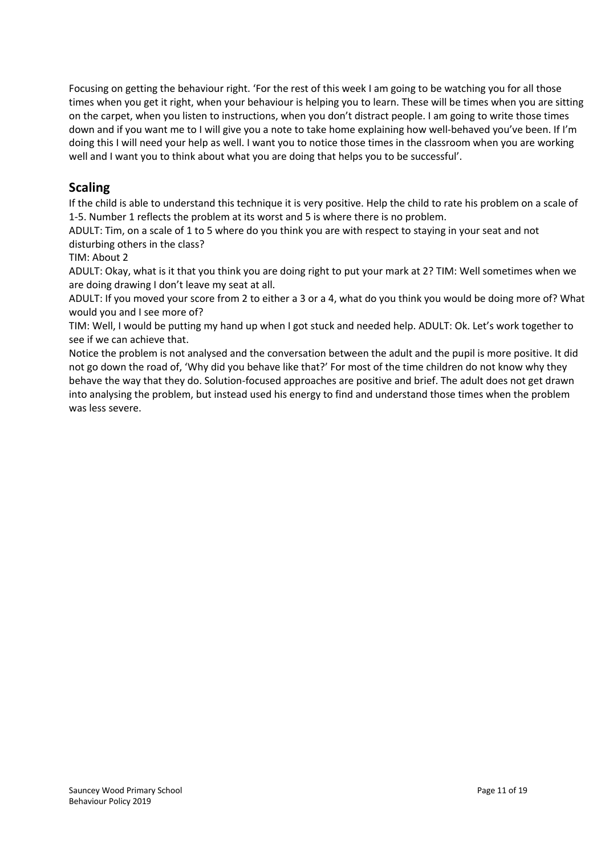Focusing on getting the behaviour right. 'For the rest of this week I am going to be watching you for all those times when you get it right, when your behaviour is helping you to learn. These will be times when you are sitting on the carpet, when you listen to instructions, when you don't distract people. I am going to write those times down and if you want me to I will give you a note to take home explaining how well-behaved you've been. If I'm doing this I will need your help as well. I want you to notice those times in the classroom when you are working well and I want you to think about what you are doing that helps you to be successful'.

## **Scaling**

If the child is able to understand this technique it is very positive. Help the child to rate his problem on a scale of 1-5. Number 1 reflects the problem at its worst and 5 is where there is no problem.

ADULT: Tim, on a scale of 1 to 5 where do you think you are with respect to staying in your seat and not disturbing others in the class?

TIM: About 2

ADULT: Okay, what is it that you think you are doing right to put your mark at 2? TIM: Well sometimes when we are doing drawing I don't leave my seat at all.

ADULT: If you moved your score from 2 to either a 3 or a 4, what do you think you would be doing more of? What would you and I see more of?

TIM: Well, I would be putting my hand up when I got stuck and needed help. ADULT: Ok. Let's work together to see if we can achieve that.

Notice the problem is not analysed and the conversation between the adult and the pupil is more positive. It did not go down the road of, 'Why did you behave like that?' For most of the time children do not know why they behave the way that they do. Solution-focused approaches are positive and brief. The adult does not get drawn into analysing the problem, but instead used his energy to find and understand those times when the problem was less severe.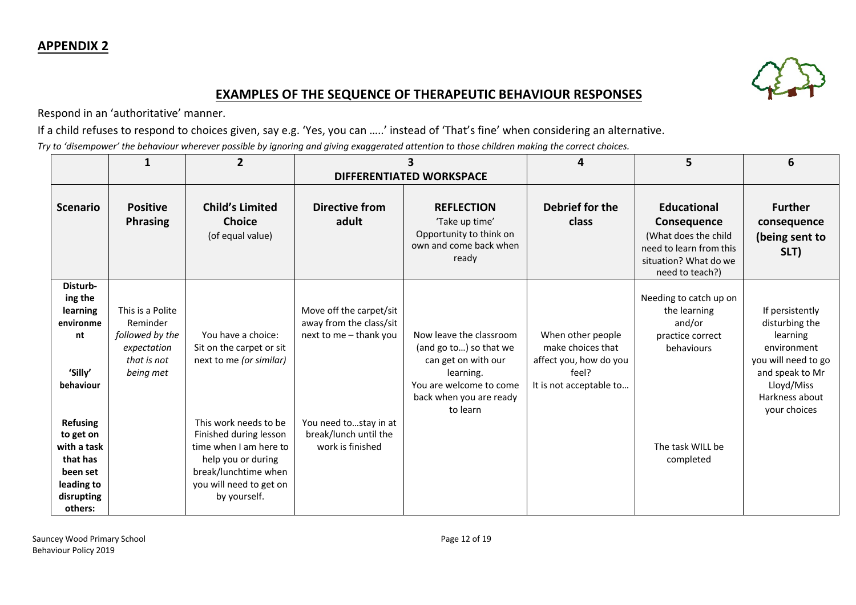

## **EXAMPLES OF THE SEQUENCE OF THERAPEUTIC BEHAVIOUR RESPONSES**

Respond in an 'authoritative' manner.

If a child refuses to respond to choices given, say e.g. 'Yes, you can …..' instead of 'That's fine' when considering an alternative.

*Try to 'disempower' the behaviour wherever possible by ignoring and giving exaggerated attention to those children making the correct choices.*

|                                                                                                                                                                                          | 1                                                                                          | $\mathbf{2}$                                                                                                                                                                                                                                    | з<br><b>DIFFERENTIATED WORKSPACE</b>                                                                                                               |                                                                                                                                                         | 4                                                                                                    | 5                                                                                                                                | 6                                                                                                                                                      |
|------------------------------------------------------------------------------------------------------------------------------------------------------------------------------------------|--------------------------------------------------------------------------------------------|-------------------------------------------------------------------------------------------------------------------------------------------------------------------------------------------------------------------------------------------------|----------------------------------------------------------------------------------------------------------------------------------------------------|---------------------------------------------------------------------------------------------------------------------------------------------------------|------------------------------------------------------------------------------------------------------|----------------------------------------------------------------------------------------------------------------------------------|--------------------------------------------------------------------------------------------------------------------------------------------------------|
| <b>Scenario</b>                                                                                                                                                                          | <b>Positive</b><br>Phrasing                                                                | <b>Child's Limited</b><br><b>Choice</b><br>(of equal value)                                                                                                                                                                                     | <b>Directive from</b><br>adult                                                                                                                     | <b>REFLECTION</b><br>'Take up time'<br>Opportunity to think on<br>own and come back when<br>ready                                                       | Debrief for the<br>class                                                                             | <b>Educational</b><br>Consequence<br>(What does the child<br>need to learn from this<br>situation? What do we<br>need to teach?) | <b>Further</b><br>consequence<br>(being sent to<br>SLT)                                                                                                |
| Disturb-<br>ing the<br>learning<br>environme<br>nt<br>'Silly'<br>behaviour<br><b>Refusing</b><br>to get on<br>with a task<br>that has<br>been set<br>leading to<br>disrupting<br>others: | This is a Polite<br>Reminder<br>followed by the<br>expectation<br>that is not<br>being met | You have a choice:<br>Sit on the carpet or sit<br>next to me (or similar)<br>This work needs to be<br>Finished during lesson<br>time when I am here to<br>help you or during<br>break/lunchtime when<br>you will need to get on<br>by yourself. | Move off the carpet/sit<br>away from the class/sit<br>next to me - thank you<br>You need tostay in at<br>break/lunch until the<br>work is finished | Now leave the classroom<br>(and go to) so that we<br>can get on with our<br>learning.<br>You are welcome to come<br>back when you are ready<br>to learn | When other people<br>make choices that<br>affect you, how do you<br>feel?<br>It is not acceptable to | Needing to catch up on<br>the learning<br>and/or<br>practice correct<br>behaviours<br>The task WILL be<br>completed              | If persistently<br>disturbing the<br>learning<br>environment<br>you will need to go<br>and speak to Mr<br>Lloyd/Miss<br>Harkness about<br>your choices |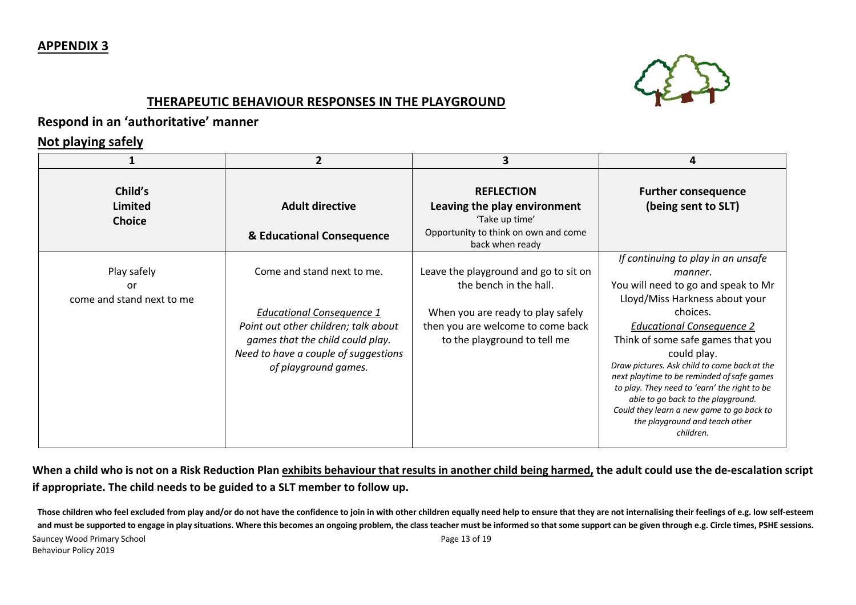## **APPENDIX 3**



## **THERAPEUTIC BEHAVIOUR RESPONSES IN THE PLAYGROUND**

## **Respond in an 'authoritative' manner**

## **Not playing safely**

|                                                | $\mathbf{2}$                                                                                                                                                                                               | 3                                                                                                                                                                         |                                                                                                                                                                                                                                                                                                                                                                                                                                                                                                            |
|------------------------------------------------|------------------------------------------------------------------------------------------------------------------------------------------------------------------------------------------------------------|---------------------------------------------------------------------------------------------------------------------------------------------------------------------------|------------------------------------------------------------------------------------------------------------------------------------------------------------------------------------------------------------------------------------------------------------------------------------------------------------------------------------------------------------------------------------------------------------------------------------------------------------------------------------------------------------|
| Child's<br>Limited<br><b>Choice</b>            | <b>Adult directive</b><br>& Educational Consequence                                                                                                                                                        | <b>REFLECTION</b><br>Leaving the play environment<br>'Take up time'<br>Opportunity to think on own and come<br>back when ready                                            | <b>Further consequence</b><br>(being sent to SLT)                                                                                                                                                                                                                                                                                                                                                                                                                                                          |
| Play safely<br>or<br>come and stand next to me | Come and stand next to me.<br><b>Educational Consequence 1</b><br>Point out other children; talk about<br>games that the child could play.<br>Need to have a couple of suggestions<br>of playground games. | Leave the playground and go to sit on<br>the bench in the hall.<br>When you are ready to play safely<br>then you are welcome to come back<br>to the playground to tell me | If continuing to play in an unsafe<br>manner.<br>You will need to go and speak to Mr<br>Lloyd/Miss Harkness about your<br>choices.<br><b>Educational Consequence 2</b><br>Think of some safe games that you<br>could play.<br>Draw pictures. Ask child to come back at the<br>next playtime to be reminded of safe games<br>to play. They need to 'earn' the right to be<br>able to go back to the playground.<br>Could they learn a new game to go back to<br>the playground and teach other<br>children. |

**When a child who is not on a Risk Reduction Plan exhibits behaviour that results in another child being harmed, the adult could use the de-escalation script if appropriate. The child needs to be guided to a SLT member to follow up.**

Sauncey Wood Primary School **Page 13** of 19 Behaviour Policy 2019 **Those children who feel excluded from play and/or do not have the confidence to join in with other children equally need help to ensure that they are not internalising their feelings of e.g. low self-esteem and must be supported to engage in play situations. Where this becomes an ongoing problem, the class teacher must be informed so that some support can be given through e.g. Circle times, PSHE sessions.**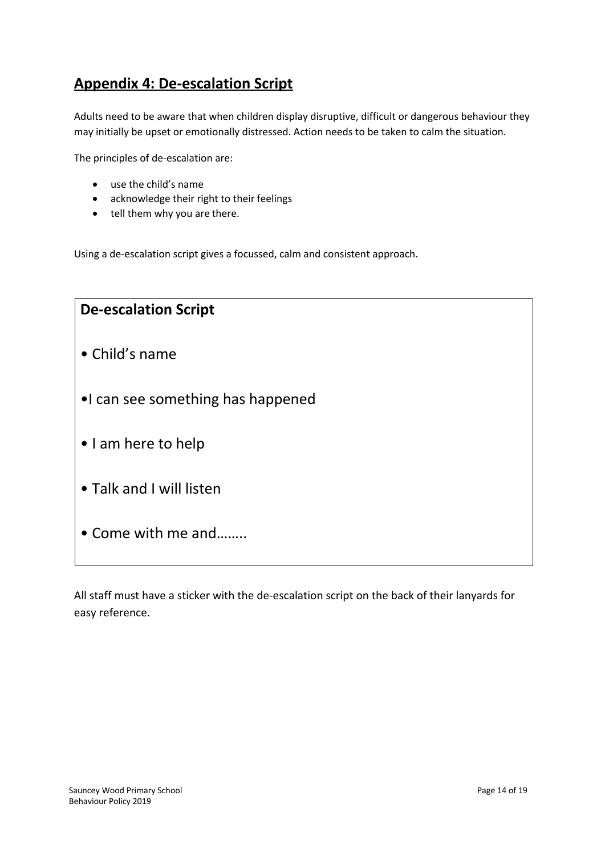## **Appendix 4: De-escalation Script**

Adults need to be aware that when children display disruptive, difficult or dangerous behaviour they may initially be upset or emotionally distressed. Action needs to be taken to calm the situation.

The principles of de-escalation are:

- use the child's name
- acknowledge their right to their feelings
- tell them why you are there.

Using a de-escalation script gives a focussed, calm and consistent approach.

| <b>De-escalation Script</b>       |  |
|-----------------------------------|--|
| • Child's name                    |  |
| •I can see something has happened |  |
| • I am here to help               |  |
| • Talk and I will listen          |  |
| • Come with me and                |  |
|                                   |  |

All staff must have a sticker with the de-escalation script on the back of their lanyards for easy reference.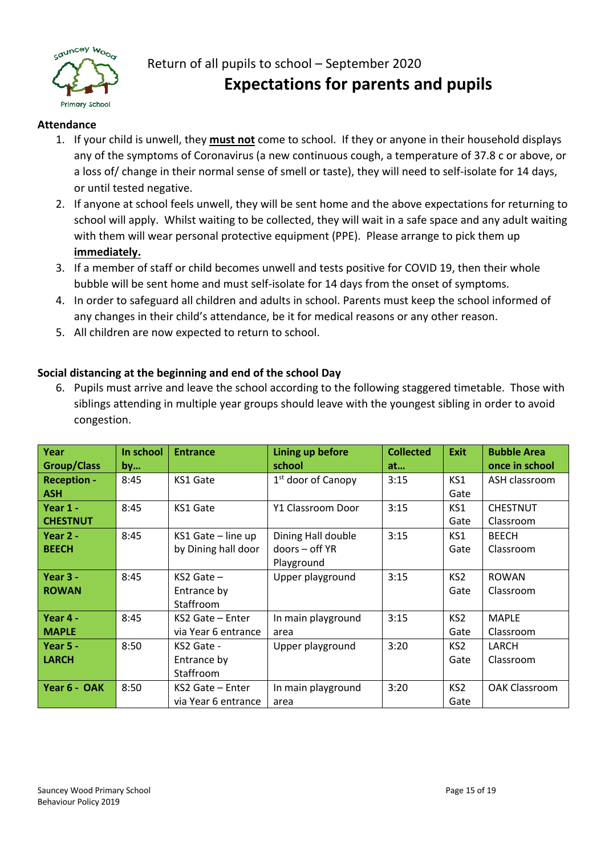

## Return of all pupils to school – September 2020 **Expectations for parents and pupils**

### **Attendance**

- 1. If your child is unwell, they **must not** come to school. If they or anyone in their household displays any of the symptoms of Coronavirus (a new continuous cough, a temperature of 37.8 c or above, or a loss of/ change in their normal sense of smell or taste), they will need to self-isolate for 14 days, or until tested negative.
- 2. If anyone at school feels unwell, they will be sent home and the above expectations for returning to school will apply. Whilst waiting to be collected, they will wait in a safe space and any adult waiting with them will wear personal protective equipment (PPE). Please arrange to pick them up **immediately.**
- 3. If a member of staff or child becomes unwell and tests positive for COVID 19, then their whole bubble will be sent home and must self-isolate for 14 days from the onset of symptoms.
- 4. In order to safeguard all children and adults in school. Parents must keep the school informed of any changes in their child's attendance, be it for medical reasons or any other reason.
- 5. All children are now expected to return to school.

## **Social distancing at the beginning and end of the school Day**

6. Pupils must arrive and leave the school according to the following staggered timetable. Those with siblings attending in multiple year groups should leave with the youngest sibling in order to avoid congestion.

| Year               | In school | <b>Entrance</b>     | Lining up before     | <b>Collected</b> | <b>Exit</b>     | <b>Bubble Area</b>   |
|--------------------|-----------|---------------------|----------------------|------------------|-----------------|----------------------|
| <b>Group/Class</b> | by        |                     | school               | at               |                 | once in school       |
| <b>Reception -</b> | 8:45      | KS1 Gate            | $1st$ door of Canopy | 3:15             | KS1             | ASH classroom        |
| <b>ASH</b>         |           |                     |                      |                  | Gate            |                      |
| Year 1 -           | 8:45      | KS1 Gate            | Y1 Classroom Door    | 3:15             | KS1             | <b>CHESTNUT</b>      |
| <b>CHESTNUT</b>    |           |                     |                      |                  | Gate            | Classroom            |
| Year 2 -           | 8:45      | KS1 Gate - line up  | Dining Hall double   | 3:15             | KS1             | <b>BEECH</b>         |
| <b>BEECH</b>       |           | by Dining hall door | doors - off YR       |                  | Gate            | Classroom            |
|                    |           |                     | Playground           |                  |                 |                      |
| Year 3 -           | 8:45      | $KS2$ Gate $-$      | Upper playground     | 3:15             | KS <sub>2</sub> | <b>ROWAN</b>         |
| <b>ROWAN</b>       |           | Entrance by         |                      |                  | Gate            | Classroom            |
|                    |           | Staffroom           |                      |                  |                 |                      |
| Year 4 -           | 8:45      | KS2 Gate - Enter    | In main playground   | 3:15             | KS <sub>2</sub> | <b>MAPLE</b>         |
| <b>MAPLE</b>       |           | via Year 6 entrance | area                 |                  | Gate            | Classroom            |
| Year $5 -$         | 8:50      | KS2 Gate -          | Upper playground     | 3:20             | KS2             | LARCH                |
| <b>LARCH</b>       |           | Entrance by         |                      |                  | Gate            | Classroom            |
|                    |           | Staffroom           |                      |                  |                 |                      |
| Year 6 - OAK       | 8:50      | KS2 Gate - Enter    | In main playground   | 3:20             | KS <sub>2</sub> | <b>OAK Classroom</b> |
|                    |           | via Year 6 entrance | area                 |                  | Gate            |                      |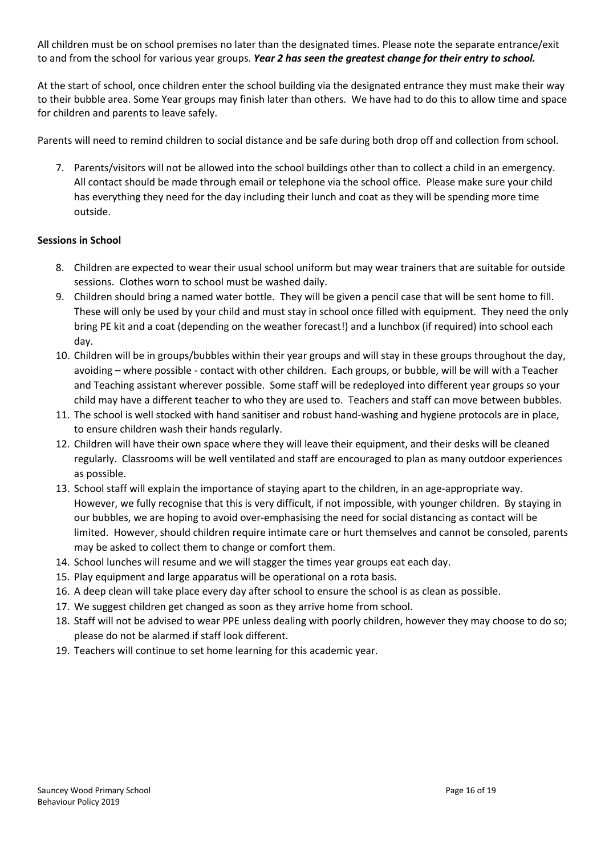All children must be on school premises no later than the designated times. Please note the separate entrance/exit to and from the school for various year groups. *Year 2 has seen the greatest change for their entry to school.*

At the start of school, once children enter the school building via the designated entrance they must make their way to their bubble area. Some Year groups may finish later than others. We have had to do this to allow time and space for children and parents to leave safely.

Parents will need to remind children to social distance and be safe during both drop off and collection from school.

7. Parents/visitors will not be allowed into the school buildings other than to collect a child in an emergency. All contact should be made through email or telephone via the school office. Please make sure your child has everything they need for the day including their lunch and coat as they will be spending more time outside.

#### **Sessions in School**

- 8. Children are expected to wear their usual school uniform but may wear trainers that are suitable for outside sessions. Clothes worn to school must be washed daily.
- 9. Children should bring a named water bottle. They will be given a pencil case that will be sent home to fill. These will only be used by your child and must stay in school once filled with equipment. They need the only bring PE kit and a coat (depending on the weather forecast!) and a lunchbox (if required) into school each day.
- 10. Children will be in groups/bubbles within their year groups and will stay in these groups throughout the day, avoiding – where possible - contact with other children. Each groups, or bubble, will be will with a Teacher and Teaching assistant wherever possible. Some staff will be redeployed into different year groups so your child may have a different teacher to who they are used to. Teachers and staff can move between bubbles.
- 11. The school is well stocked with hand sanitiser and robust hand-washing and hygiene protocols are in place, to ensure children wash their hands regularly.
- 12. Children will have their own space where they will leave their equipment, and their desks will be cleaned regularly. Classrooms will be well ventilated and staff are encouraged to plan as many outdoor experiences as possible.
- 13. School staff will explain the importance of staying apart to the children, in an age-appropriate way. However, we fully recognise that this is very difficult, if not impossible, with younger children. By staying in our bubbles, we are hoping to avoid over-emphasising the need for social distancing as contact will be limited. However, should children require intimate care or hurt themselves and cannot be consoled, parents may be asked to collect them to change or comfort them.
- 14. School lunches will resume and we will stagger the times year groups eat each day.
- 15. Play equipment and large apparatus will be operational on a rota basis.
- 16. A deep clean will take place every day after school to ensure the school is as clean as possible.
- 17. We suggest children get changed as soon as they arrive home from school.
- 18. Staff will not be advised to wear PPE unless dealing with poorly children, however they may choose to do so; please do not be alarmed if staff look different.
- 19. Teachers will continue to set home learning for this academic year.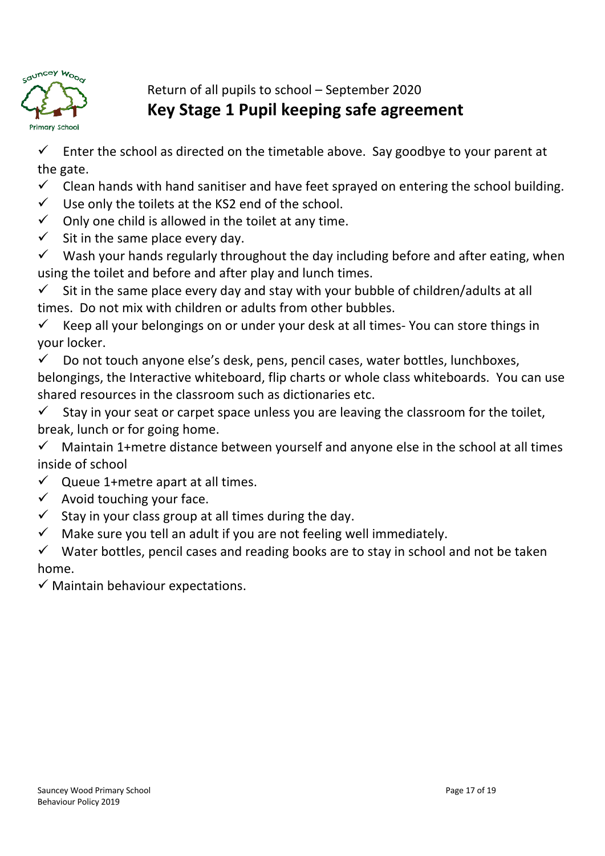

Return of all pupils to school – September 2020 **Key Stage 1 Pupil keeping safe agreement**

 $\checkmark$  Enter the school as directed on the timetable above. Say goodbye to your parent at the gate.

 $\checkmark$  Clean hands with hand sanitiser and have feet sprayed on entering the school building.

- $\checkmark$  Use only the toilets at the KS2 end of the school.
- $\checkmark$  Only one child is allowed in the toilet at any time.
- $\checkmark$  Sit in the same place every day.

 $\checkmark$  Wash your hands regularly throughout the day including before and after eating, when using the toilet and before and after play and lunch times.

 $\checkmark$  Sit in the same place every day and stay with your bubble of children/adults at all times. Do not mix with children or adults from other bubbles.

 $\checkmark$  Keep all your belongings on or under your desk at all times- You can store things in your locker.

 $\checkmark$  Do not touch anyone else's desk, pens, pencil cases, water bottles, lunchboxes, belongings, the Interactive whiteboard, flip charts or whole class whiteboards. You can use shared resources in the classroom such as dictionaries etc.

 $\checkmark$  Stay in your seat or carpet space unless you are leaving the classroom for the toilet, break, lunch or for going home.

 $\checkmark$  Maintain 1+metre distance between yourself and anyone else in the school at all times inside of school

- $\checkmark$  Queue 1+metre apart at all times.
- $\checkmark$  Avoid touching your face.
- $\checkmark$  Stay in your class group at all times during the day.
- $\checkmark$  Make sure you tell an adult if you are not feeling well immediately.

Water bottles, pencil cases and reading books are to stay in school and not be taken home.

 $\checkmark$  Maintain behaviour expectations.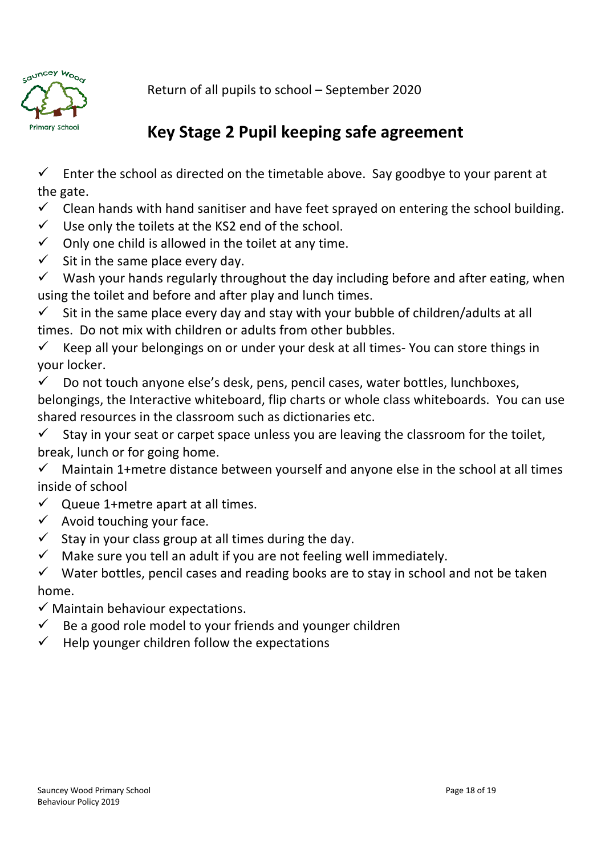

Return of all pupils to school – September 2020

# **Key Stage 2 Pupil keeping safe agreement**

 $\checkmark$  Enter the school as directed on the timetable above. Say goodbye to your parent at the gate.

 $\checkmark$  Clean hands with hand sanitiser and have feet sprayed on entering the school building.

 $\checkmark$  Use only the toilets at the KS2 end of the school.

 $\checkmark$  Only one child is allowed in the toilet at any time.

 $\checkmark$  Sit in the same place every day.

 $\checkmark$  Wash your hands regularly throughout the day including before and after eating, when using the toilet and before and after play and lunch times.

 $\checkmark$  Sit in the same place every day and stay with your bubble of children/adults at all times. Do not mix with children or adults from other bubbles.

 $\checkmark$  Keep all your belongings on or under your desk at all times- You can store things in your locker.

 $\checkmark$  Do not touch anyone else's desk, pens, pencil cases, water bottles, lunchboxes, belongings, the Interactive whiteboard, flip charts or whole class whiteboards. You can use shared resources in the classroom such as dictionaries etc.

 $\checkmark$  Stay in your seat or carpet space unless you are leaving the classroom for the toilet, break, lunch or for going home.

 $\checkmark$  Maintain 1+metre distance between yourself and anyone else in the school at all times inside of school

 $\checkmark$  Queue 1+metre apart at all times.

- $\checkmark$  Avoid touching your face.
- $\checkmark$  Stay in your class group at all times during the day.

 $\checkmark$  Make sure you tell an adult if you are not feeling well immediately.

 $\checkmark$  Water bottles, pencil cases and reading books are to stay in school and not be taken home.

 $\checkmark$  Maintain behaviour expectations.

- $\checkmark$  Be a good role model to your friends and younger children
- $\checkmark$  Help younger children follow the expectations